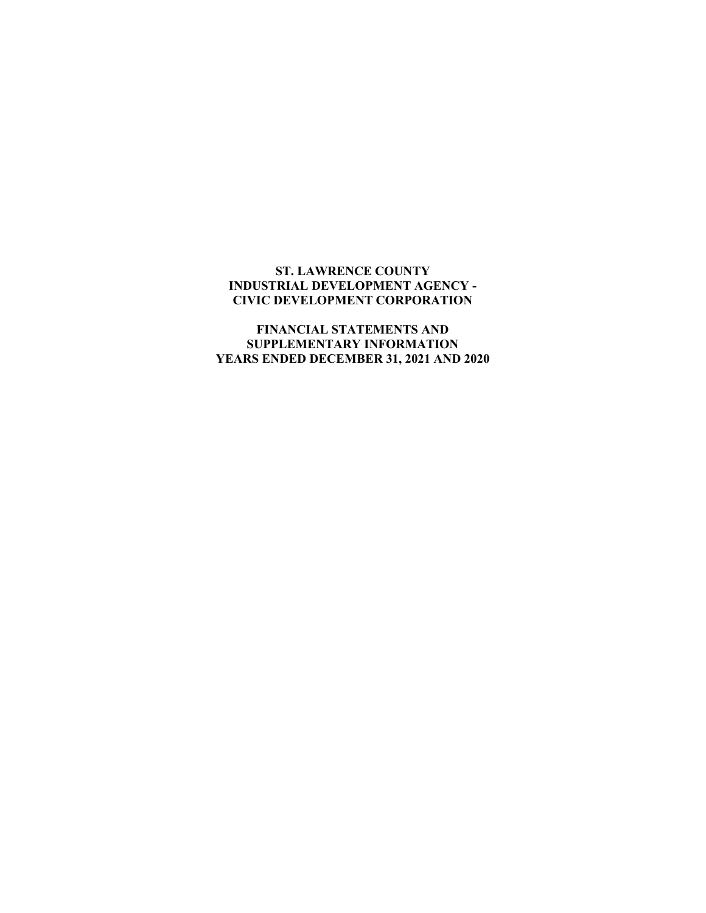**FINANCIAL STATEMENTS AND SUPPLEMENTARY INFORMATION YEARS ENDED DECEMBER 31, 2021 AND 2020**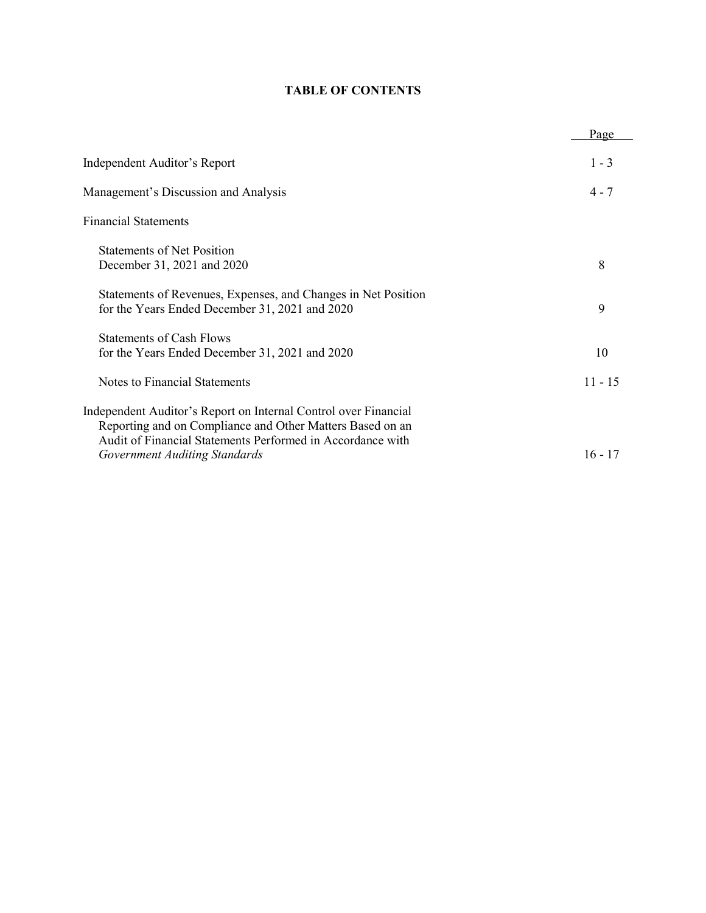# **TABLE OF CONTENTS**

|                                                                                                                                                                                            | Page      |
|--------------------------------------------------------------------------------------------------------------------------------------------------------------------------------------------|-----------|
| Independent Auditor's Report                                                                                                                                                               | $1 - 3$   |
| Management's Discussion and Analysis                                                                                                                                                       | $4 - 7$   |
| <b>Financial Statements</b>                                                                                                                                                                |           |
| <b>Statements of Net Position</b><br>December 31, 2021 and 2020                                                                                                                            | 8         |
| Statements of Revenues, Expenses, and Changes in Net Position<br>for the Years Ended December 31, 2021 and 2020                                                                            | 9         |
| <b>Statements of Cash Flows</b><br>for the Years Ended December 31, 2021 and 2020                                                                                                          | 10        |
| Notes to Financial Statements                                                                                                                                                              | $11 - 15$ |
| Independent Auditor's Report on Internal Control over Financial<br>Reporting and on Compliance and Other Matters Based on an<br>Audit of Financial Statements Performed in Accordance with |           |
| Government Auditing Standards                                                                                                                                                              | $16 - 17$ |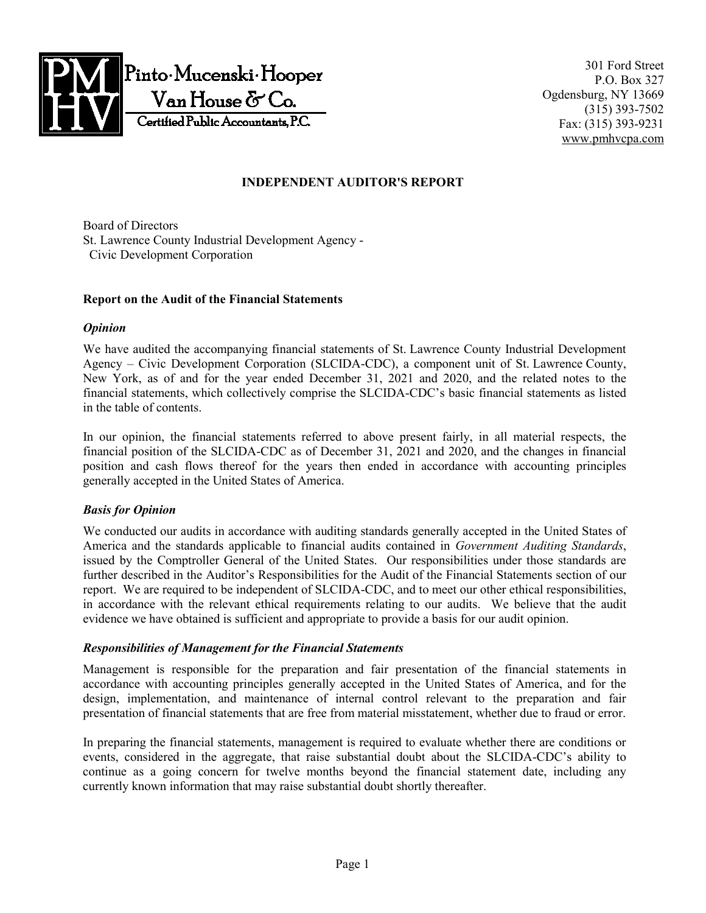

301 Ford Street P.O. Box 327 Ogdensburg, NY 13669 (315) 393-7502 Fax: (315) 393-9231 [www.pmhvcpa.com](http://www.pmhvcpa.com/)

### **INDEPENDENT AUDITOR'S REPORT**

Board of Directors St. Lawrence County Industrial Development Agency - Civic Development Corporation

### **Report on the Audit of the Financial Statements**

#### *Opinion*

We have audited the accompanying financial statements of St. Lawrence County Industrial Development Agency – Civic Development Corporation (SLCIDA-CDC), a component unit of St. Lawrence County, New York, as of and for the year ended December 31, 2021 and 2020, and the related notes to the financial statements, which collectively comprise the SLCIDA-CDC's basic financial statements as listed in the table of contents.

In our opinion, the financial statements referred to above present fairly, in all material respects, the financial position of the SLCIDA-CDC as of December 31, 2021 and 2020, and the changes in financial position and cash flows thereof for the years then ended in accordance with accounting principles generally accepted in the United States of America.

### *Basis for Opinion*

We conducted our audits in accordance with auditing standards generally accepted in the United States of America and the standards applicable to financial audits contained in *Government Auditing Standards*, issued by the Comptroller General of the United States. Our responsibilities under those standards are further described in the Auditor's Responsibilities for the Audit of the Financial Statements section of our report. We are required to be independent of SLCIDA-CDC, and to meet our other ethical responsibilities, in accordance with the relevant ethical requirements relating to our audits. We believe that the audit evidence we have obtained is sufficient and appropriate to provide a basis for our audit opinion.

### *Responsibilities of Management for the Financial Statements*

Management is responsible for the preparation and fair presentation of the financial statements in accordance with accounting principles generally accepted in the United States of America, and for the design, implementation, and maintenance of internal control relevant to the preparation and fair presentation of financial statements that are free from material misstatement, whether due to fraud or error.

In preparing the financial statements, management is required to evaluate whether there are conditions or events, considered in the aggregate, that raise substantial doubt about the SLCIDA-CDC's ability to continue as a going concern for twelve months beyond the financial statement date, including any currently known information that may raise substantial doubt shortly thereafter.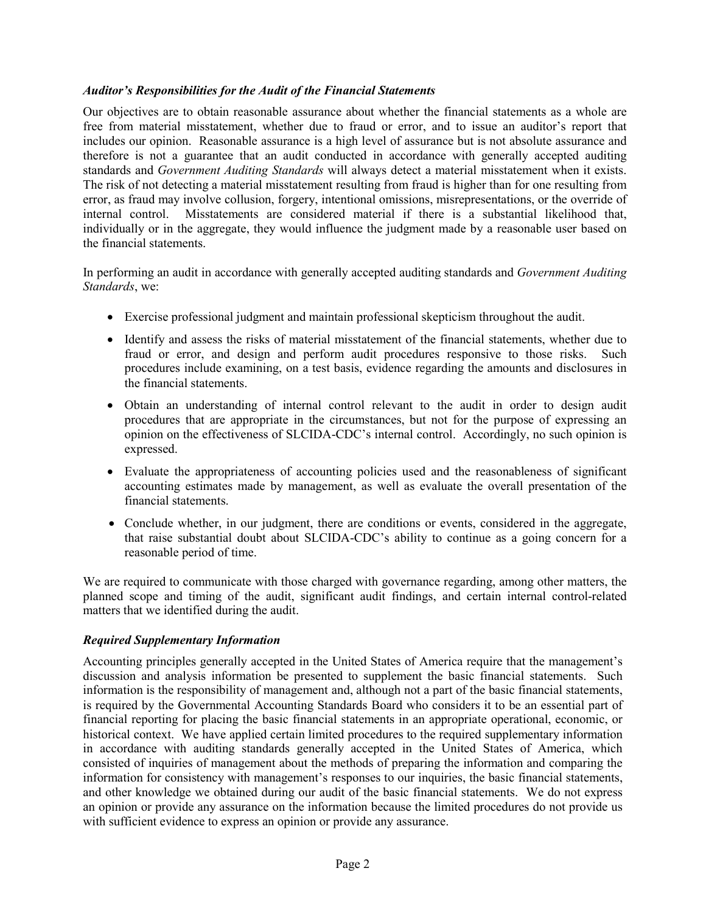### *Auditor's Responsibilities for the Audit of the Financial Statements*

Our objectives are to obtain reasonable assurance about whether the financial statements as a whole are free from material misstatement, whether due to fraud or error, and to issue an auditor's report that includes our opinion. Reasonable assurance is a high level of assurance but is not absolute assurance and therefore is not a guarantee that an audit conducted in accordance with generally accepted auditing standards and *Government Auditing Standards* will always detect a material misstatement when it exists. The risk of not detecting a material misstatement resulting from fraud is higher than for one resulting from error, as fraud may involve collusion, forgery, intentional omissions, misrepresentations, or the override of internal control. Misstatements are considered material if there is a substantial likelihood that, individually or in the aggregate, they would influence the judgment made by a reasonable user based on the financial statements.

In performing an audit in accordance with generally accepted auditing standards and *Government Auditing Standards*, we:

- Exercise professional judgment and maintain professional skepticism throughout the audit.
- Identify and assess the risks of material misstatement of the financial statements, whether due to fraud or error, and design and perform audit procedures responsive to those risks. Such procedures include examining, on a test basis, evidence regarding the amounts and disclosures in the financial statements.
- Obtain an understanding of internal control relevant to the audit in order to design audit procedures that are appropriate in the circumstances, but not for the purpose of expressing an opinion on the effectiveness of SLCIDA-CDC's internal control. Accordingly, no such opinion is expressed.
- Evaluate the appropriateness of accounting policies used and the reasonableness of significant accounting estimates made by management, as well as evaluate the overall presentation of the financial statements.
- Conclude whether, in our judgment, there are conditions or events, considered in the aggregate, that raise substantial doubt about SLCIDA-CDC's ability to continue as a going concern for a reasonable period of time.

We are required to communicate with those charged with governance regarding, among other matters, the planned scope and timing of the audit, significant audit findings, and certain internal control-related matters that we identified during the audit.

### *Required Supplementary Information*

Accounting principles generally accepted in the United States of America require that the management's discussion and analysis information be presented to supplement the basic financial statements. Such information is the responsibility of management and, although not a part of the basic financial statements, is required by the Governmental Accounting Standards Board who considers it to be an essential part of financial reporting for placing the basic financial statements in an appropriate operational, economic, or historical context. We have applied certain limited procedures to the required supplementary information in accordance with auditing standards generally accepted in the United States of America, which consisted of inquiries of management about the methods of preparing the information and comparing the information for consistency with management's responses to our inquiries, the basic financial statements, and other knowledge we obtained during our audit of the basic financial statements. We do not express an opinion or provide any assurance on the information because the limited procedures do not provide us with sufficient evidence to express an opinion or provide any assurance.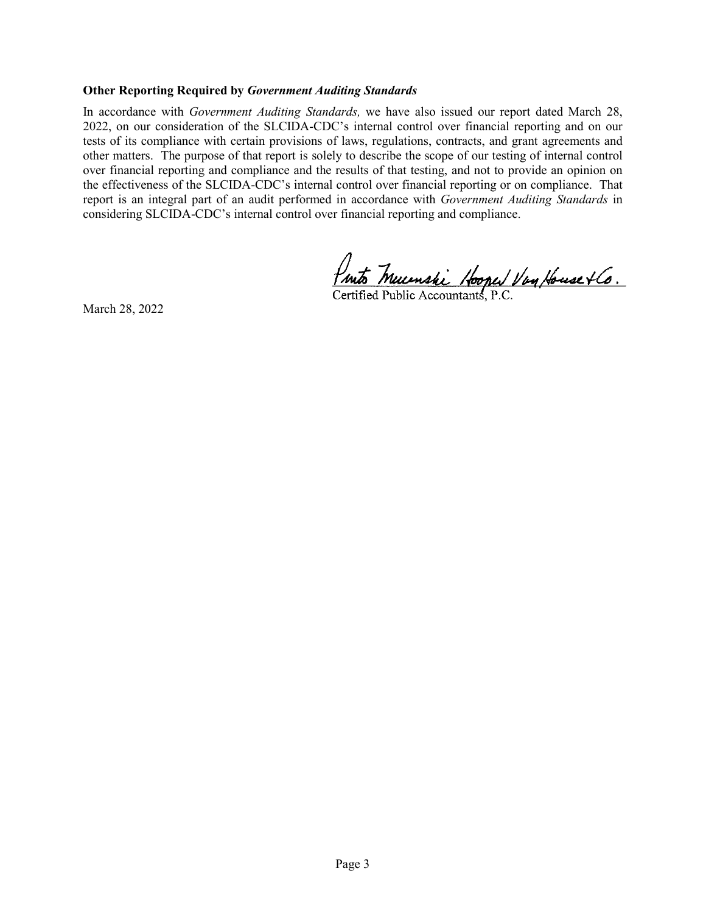### **Other Reporting Required by** *Government Auditing Standards*

In accordance with *Government Auditing Standards,* we have also issued our report dated March 28, 2022, on our consideration of the SLCIDA-CDC's internal control over financial reporting and on our tests of its compliance with certain provisions of laws, regulations, contracts, and grant agreements and other matters. The purpose of that report is solely to describe the scope of our testing of internal control over financial reporting and compliance and the results of that testing, and not to provide an opinion on the effectiveness of the SLCIDA-CDC's internal control over financial reporting or on compliance. That report is an integral part of an audit performed in accordance with *Government Auditing Standards* in considering SLCIDA-CDC's internal control over financial reporting and compliance.

<u>Punto Mucenshi Hooper Van House + Co.</u>

March 28, 2022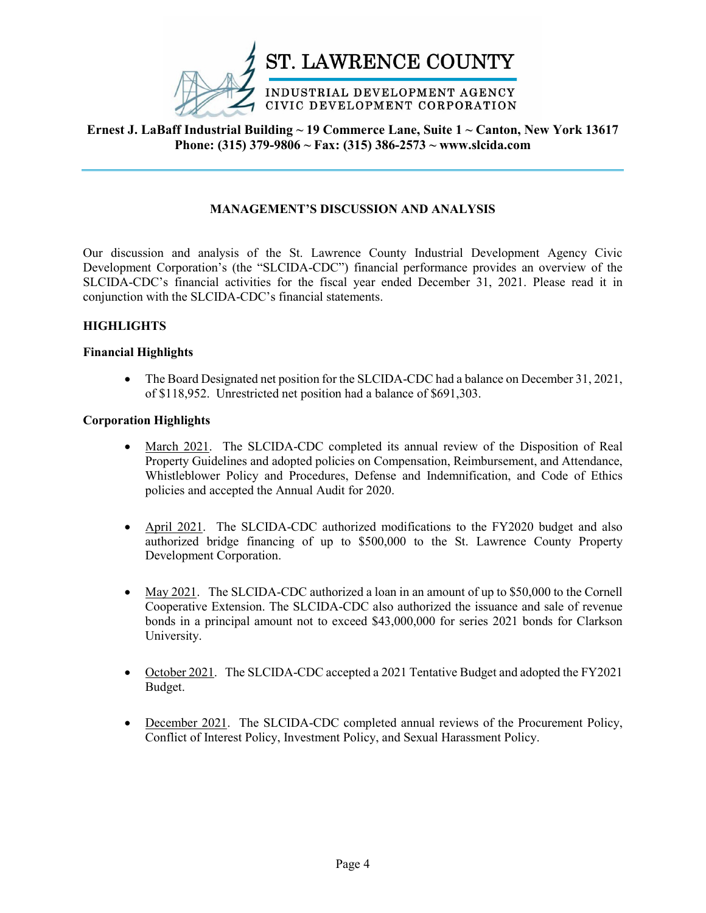

# **Ernest J. LaBaff Industrial Building ~ 19 Commerce Lane, Suite 1 ~ Canton, New York 13617 Phone: (315) 379-9806 ~ Fax: (315) 386-2573 ~ www.slcida.com**

# **MANAGEMENT'S DISCUSSION AND ANALYSIS**

Our discussion and analysis of the St. Lawrence County Industrial Development Agency Civic Development Corporation's (the "SLCIDA-CDC") financial performance provides an overview of the SLCIDA-CDC's financial activities for the fiscal year ended December 31, 2021. Please read it in conjunction with the SLCIDA-CDC's financial statements.

# **HIGHLIGHTS**

#### **Financial Highlights**

• The Board Designated net position for the SLCIDA-CDC had a balance on December 31, 2021, of \$118,952. Unrestricted net position had a balance of \$691,303.

#### **Corporation Highlights**

- March 2021. The SLCIDA-CDC completed its annual review of the Disposition of Real Property Guidelines and adopted policies on Compensation, Reimbursement, and Attendance, Whistleblower Policy and Procedures, Defense and Indemnification, and Code of Ethics policies and accepted the Annual Audit for 2020.
- April 2021. The SLCIDA-CDC authorized modifications to the FY2020 budget and also authorized bridge financing of up to \$500,000 to the St. Lawrence County Property Development Corporation.
- May 2021. The SLCIDA-CDC authorized a loan in an amount of up to \$50,000 to the Cornell Cooperative Extension. The SLCIDA-CDC also authorized the issuance and sale of revenue bonds in a principal amount not to exceed \$43,000,000 for series 2021 bonds for Clarkson University.
- October 2021. The SLCIDA-CDC accepted a 2021 Tentative Budget and adopted the FY2021 Budget.
- December 2021. The SLCIDA-CDC completed annual reviews of the Procurement Policy, Conflict of Interest Policy, Investment Policy, and Sexual Harassment Policy.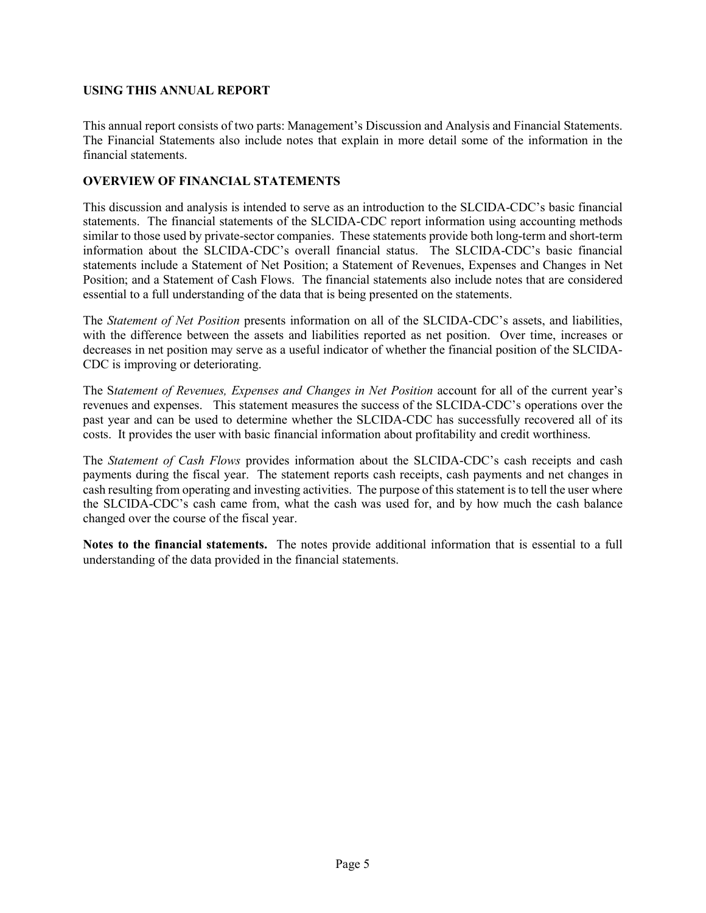# **USING THIS ANNUAL REPORT**

This annual report consists of two parts: Management's Discussion and Analysis and Financial Statements. The Financial Statements also include notes that explain in more detail some of the information in the financial statements.

# **OVERVIEW OF FINANCIAL STATEMENTS**

This discussion and analysis is intended to serve as an introduction to the SLCIDA-CDC's basic financial statements. The financial statements of the SLCIDA-CDC report information using accounting methods similar to those used by private-sector companies. These statements provide both long-term and short-term information about the SLCIDA-CDC's overall financial status. The SLCIDA-CDC's basic financial statements include a Statement of Net Position; a Statement of Revenues, Expenses and Changes in Net Position; and a Statement of Cash Flows. The financial statements also include notes that are considered essential to a full understanding of the data that is being presented on the statements.

The *Statement of Net Position* presents information on all of the SLCIDA-CDC's assets, and liabilities, with the difference between the assets and liabilities reported as net position. Over time, increases or decreases in net position may serve as a useful indicator of whether the financial position of the SLCIDA-CDC is improving or deteriorating.

The S*tatement of Revenues, Expenses and Changes in Net Position* account for all of the current year's revenues and expenses. This statement measures the success of the SLCIDA-CDC's operations over the past year and can be used to determine whether the SLCIDA-CDC has successfully recovered all of its costs. It provides the user with basic financial information about profitability and credit worthiness.

The *Statement of Cash Flows* provides information about the SLCIDA-CDC's cash receipts and cash payments during the fiscal year. The statement reports cash receipts, cash payments and net changes in cash resulting from operating and investing activities. The purpose of this statement is to tell the user where the SLCIDA-CDC's cash came from, what the cash was used for, and by how much the cash balance changed over the course of the fiscal year.

**Notes to the financial statements.** The notes provide additional information that is essential to a full understanding of the data provided in the financial statements.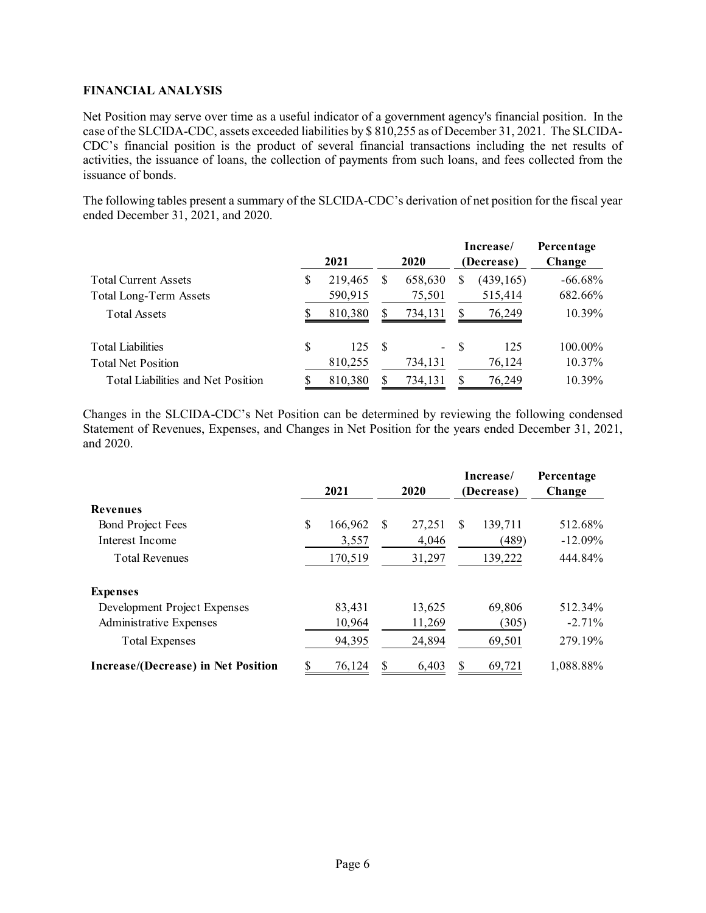### **FINANCIAL ANALYSIS**

Net Position may serve over time as a useful indicator of a government agency's financial position. In the case of the SLCIDA-CDC, assets exceeded liabilities by \$ 810,255 as of December 31, 2021. The SLCIDA-CDC's financial position is the product of several financial transactions including the net results of activities, the issuance of loans, the collection of payments from such loans, and fees collected from the issuance of bonds.

The following tables present a summary of the SLCIDA-CDC's derivation of net position for the fiscal year ended December 31, 2021, and 2020.

|                                    |   |         |    |            |     | Increase/  | Percentage |
|------------------------------------|---|---------|----|------------|-----|------------|------------|
|                                    |   | 2021    |    | 2020       |     | (Decrease) | Change     |
| <b>Total Current Assets</b>        | S | 219,465 |    | 658,630    | S   | (439, 165) | $-66.68\%$ |
| <b>Total Long-Term Assets</b>      |   | 590,915 |    | 75,501     |     | 515,414    | 682.66%    |
| <b>Total Assets</b>                |   | 810,380 |    | 734,131    | S   | 76,249     | $10.39\%$  |
| <b>Total Liabilities</b>           | S | 125     | -S | $\sim$ $-$ | -8  | 125        | 100.00%    |
| <b>Total Net Position</b>          |   | 810,255 |    | 734,131    |     | 76,124     | 10.37%     |
| Total Liabilities and Net Position |   | 810,380 |    | 734.131    | \$. | 76,249     | 10.39%     |

Changes in the SLCIDA-CDC's Net Position can be determined by reviewing the following condensed Statement of Revenues, Expenses, and Changes in Net Position for the years ended December 31, 2021, and 2020.

|                                     | 2021          |               | 2020   |    | Increase/<br>(Decrease) | Percentage<br>Change |
|-------------------------------------|---------------|---------------|--------|----|-------------------------|----------------------|
| <b>Revenues</b>                     |               |               |        |    |                         |                      |
| <b>Bond Project Fees</b>            | \$<br>166,962 | <sup>\$</sup> | 27,251 | S  | 139,711                 | 512.68%              |
| Interest Income                     | 3,557         |               | 4,046  |    | (489)                   | $-12.09\%$           |
| <b>Total Revenues</b>               | 170,519       |               | 31,297 |    | 139,222                 | 444.84%              |
| <b>Expenses</b>                     |               |               |        |    |                         |                      |
| Development Project Expenses        | 83,431        |               | 13,625 |    | 69,806                  | 512.34%              |
| Administrative Expenses             | 10,964        |               | 11,269 |    | (305)                   | $-2.71\%$            |
| <b>Total Expenses</b>               | 94,395        |               | 24,894 |    | 69,501                  | 279.19%              |
| Increase/(Decrease) in Net Position | 76,124        | S             | 6,403  | \$ | 69,721                  | 1,088.88%            |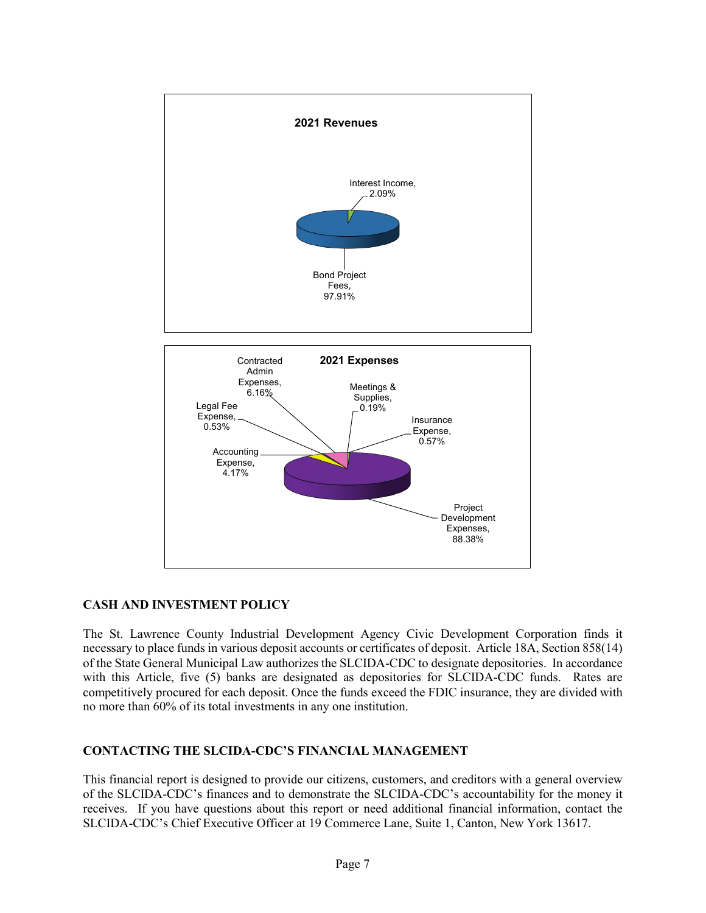

# **CASH AND INVESTMENT POLICY**

The St. Lawrence County Industrial Development Agency Civic Development Corporation finds it necessary to place funds in various deposit accounts or certificates of deposit. Article 18A, Section 858(14) of the State General Municipal Law authorizes the SLCIDA-CDC to designate depositories. In accordance with this Article, five (5) banks are designated as depositories for SLCIDA-CDC funds. Rates are competitively procured for each deposit. Once the funds exceed the FDIC insurance, they are divided with no more than 60% of its total investments in any one institution.

# **CONTACTING THE SLCIDA-CDC'S FINANCIAL MANAGEMENT**

This financial report is designed to provide our citizens, customers, and creditors with a general overview of the SLCIDA-CDC's finances and to demonstrate the SLCIDA-CDC's accountability for the money it receives. If you have questions about this report or need additional financial information, contact the SLCIDA-CDC's Chief Executive Officer at 19 Commerce Lane, Suite 1, Canton, New York 13617.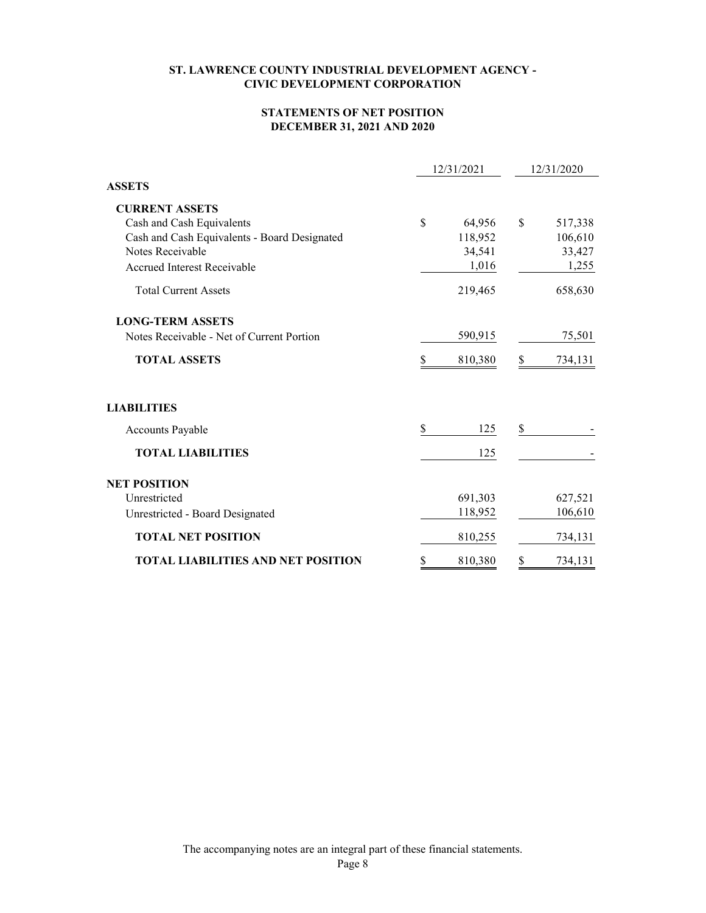### **DECEMBER 31, 2021 AND 2020 STATEMENTS OF NET POSITION**

|                                              | 12/31/2021    | 12/31/2020 |         |  |
|----------------------------------------------|---------------|------------|---------|--|
| <b>ASSETS</b>                                |               |            |         |  |
| <b>CURRENT ASSETS</b>                        |               |            |         |  |
| Cash and Cash Equivalents                    | \$<br>64,956  | \$         | 517,338 |  |
| Cash and Cash Equivalents - Board Designated | 118,952       |            | 106,610 |  |
| Notes Receivable                             | 34,541        |            | 33,427  |  |
| Accrued Interest Receivable                  | 1,016         |            | 1,255   |  |
| <b>Total Current Assets</b>                  | 219,465       |            | 658,630 |  |
| <b>LONG-TERM ASSETS</b>                      |               |            |         |  |
| Notes Receivable - Net of Current Portion    | 590,915       |            | 75,501  |  |
| <b>TOTAL ASSETS</b>                          | \$<br>810,380 | \$         | 734,131 |  |
| LIABILITIES                                  |               |            |         |  |
| <b>Accounts Payable</b>                      | \$<br>125     | \$         |         |  |
| <b>TOTAL LIABILITIES</b>                     | 125           |            |         |  |
| <b>NET POSITION</b>                          |               |            |         |  |
| Unrestricted                                 | 691,303       |            | 627,521 |  |
| Unrestricted - Board Designated              | 118,952       |            | 106,610 |  |
| <b>TOTAL NET POSITION</b>                    | 810,255       |            | 734,131 |  |
| <b>TOTAL LIABILITIES AND NET POSITION</b>    | \$<br>810,380 | S          | 734,131 |  |

The accompanying notes are an integral part of these financial statements.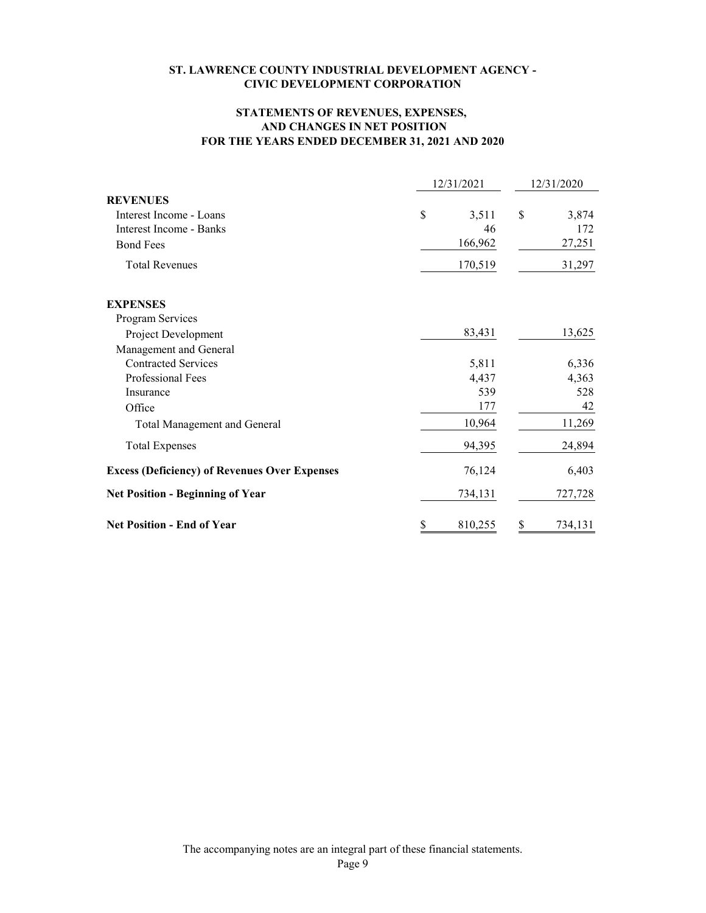### **CIVIC DEVELOPMENT CORPORATION ST. LAWRENCE COUNTY INDUSTRIAL DEVELOPMENT AGENCY -**

#### **STATEMENTS OF REVENUES, EXPENSES, AND CHANGES IN NET POSITION FOR THE YEARS ENDED DECEMBER 31, 2021 AND 2020**

|                                                      | 12/31/2021    |    | 12/31/2020 |  |  |
|------------------------------------------------------|---------------|----|------------|--|--|
| <b>REVENUES</b>                                      |               |    |            |  |  |
| Interest Income - Loans                              | \$<br>3,511   | \$ | 3,874      |  |  |
| Interest Income - Banks                              | 46            |    | 172        |  |  |
| <b>Bond Fees</b>                                     | 166,962       |    | 27,251     |  |  |
| <b>Total Revenues</b>                                | 170,519       |    | 31,297     |  |  |
| <b>EXPENSES</b>                                      |               |    |            |  |  |
| Program Services                                     |               |    |            |  |  |
| Project Development                                  | 83,431        |    | 13,625     |  |  |
| Management and General                               |               |    |            |  |  |
| <b>Contracted Services</b>                           | 5,811         |    | 6,336      |  |  |
| Professional Fees                                    | 4,437         |    | 4,363      |  |  |
| Insurance                                            | 539           |    | 528        |  |  |
| Office                                               | 177           |    | 42         |  |  |
| Total Management and General                         | 10,964        |    | 11,269     |  |  |
| <b>Total Expenses</b>                                | 94,395        |    | 24,894     |  |  |
| <b>Excess (Deficiency) of Revenues Over Expenses</b> | 76,124        |    | 6,403      |  |  |
| <b>Net Position - Beginning of Year</b>              | 734,131       |    | 727,728    |  |  |
| <b>Net Position - End of Year</b>                    | \$<br>810,255 | \$ | 734,131    |  |  |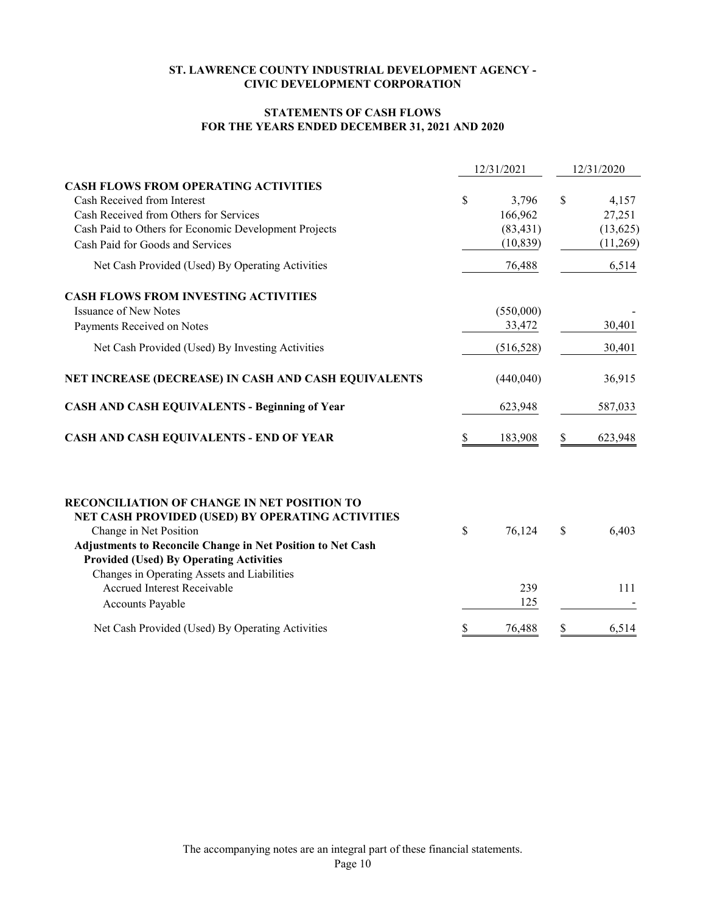#### **STATEMENTS OF CASH FLOWS FOR THE YEARS ENDED DECEMBER 31, 2021 AND 2020**

|                                                                                                        |    | 12/31/2021 |    | 12/31/2020 |  |
|--------------------------------------------------------------------------------------------------------|----|------------|----|------------|--|
| <b>CASH FLOWS FROM OPERATING ACTIVITIES</b>                                                            |    |            |    |            |  |
| Cash Received from Interest                                                                            | \$ | 3,796      | \$ | 4,157      |  |
| Cash Received from Others for Services                                                                 |    | 166,962    |    | 27,251     |  |
| Cash Paid to Others for Economic Development Projects                                                  |    | (83, 431)  |    | (13, 625)  |  |
| Cash Paid for Goods and Services                                                                       |    | (10, 839)  |    | (11,269)   |  |
| Net Cash Provided (Used) By Operating Activities                                                       |    | 76,488     |    | 6,514      |  |
| <b>CASH FLOWS FROM INVESTING ACTIVITIES</b>                                                            |    |            |    |            |  |
| <b>Issuance of New Notes</b>                                                                           |    | (550,000)  |    |            |  |
| Payments Received on Notes                                                                             |    | 33,472     |    | 30,401     |  |
| Net Cash Provided (Used) By Investing Activities                                                       |    | (516, 528) |    | 30,401     |  |
| NET INCREASE (DECREASE) IN CASH AND CASH EQUIVALENTS                                                   |    | (440, 040) |    | 36,915     |  |
| <b>CASH AND CASH EQUIVALENTS - Beginning of Year</b>                                                   |    | 623,948    |    | 587,033    |  |
| CASH AND CASH EQUIVALENTS - END OF YEAR                                                                | \$ | 183,908    | \$ | 623,948    |  |
| <b>RECONCILIATION OF CHANGE IN NET POSITION TO</b><br>NET CASH PROVIDED (USED) BY OPERATING ACTIVITIES |    |            |    |            |  |
| Change in Net Position                                                                                 | \$ | 76,124     | \$ | 6,403      |  |
| Adjustments to Reconcile Change in Net Position to Net Cash                                            |    |            |    |            |  |
| <b>Provided (Used) By Operating Activities</b>                                                         |    |            |    |            |  |
| Changes in Operating Assets and Liabilities                                                            |    |            |    |            |  |
| <b>Accrued Interest Receivable</b>                                                                     |    | 239        |    | 111        |  |
| Accounts Payable                                                                                       |    | 125        |    |            |  |
| Net Cash Provided (Used) By Operating Activities                                                       | \$ | 76,488     | \$ | 6,514      |  |

The accompanying notes are an integral part of these financial statements.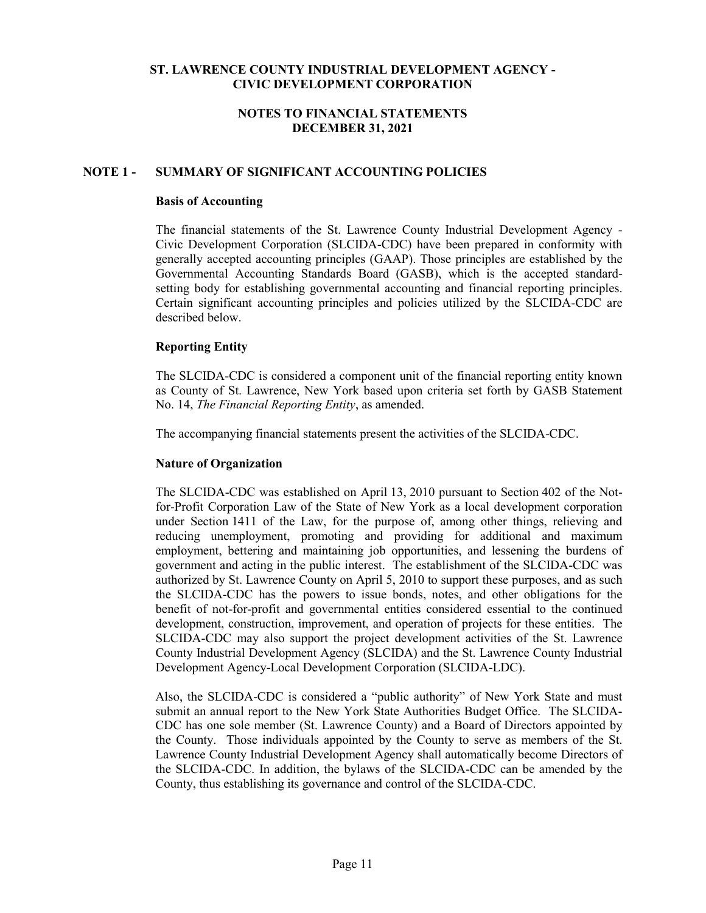### **NOTES TO FINANCIAL STATEMENTS DECEMBER 31, 2021**

#### **NOTE 1 - SUMMARY OF SIGNIFICANT ACCOUNTING POLICIES**

#### **Basis of Accounting**

The financial statements of the St. Lawrence County Industrial Development Agency - Civic Development Corporation (SLCIDA-CDC) have been prepared in conformity with generally accepted accounting principles (GAAP). Those principles are established by the Governmental Accounting Standards Board (GASB), which is the accepted standardsetting body for establishing governmental accounting and financial reporting principles. Certain significant accounting principles and policies utilized by the SLCIDA-CDC are described below.

#### **Reporting Entity**

The SLCIDA-CDC is considered a component unit of the financial reporting entity known as County of St. Lawrence, New York based upon criteria set forth by GASB Statement No. 14, *The Financial Reporting Entity*, as amended.

The accompanying financial statements present the activities of the SLCIDA-CDC.

#### **Nature of Organization**

The SLCIDA-CDC was established on April 13, 2010 pursuant to Section 402 of the Notfor-Profit Corporation Law of the State of New York as a local development corporation under Section 1411 of the Law, for the purpose of, among other things, relieving and reducing unemployment, promoting and providing for additional and maximum employment, bettering and maintaining job opportunities, and lessening the burdens of government and acting in the public interest. The establishment of the SLCIDA-CDC was authorized by St. Lawrence County on April 5, 2010 to support these purposes, and as such the SLCIDA-CDC has the powers to issue bonds, notes, and other obligations for the benefit of not-for-profit and governmental entities considered essential to the continued development, construction, improvement, and operation of projects for these entities. The SLCIDA-CDC may also support the project development activities of the St. Lawrence County Industrial Development Agency (SLCIDA) and the St. Lawrence County Industrial Development Agency-Local Development Corporation (SLCIDA-LDC).

Also, the SLCIDA-CDC is considered a "public authority" of New York State and must submit an annual report to the New York State Authorities Budget Office. The SLCIDA-CDC has one sole member (St. Lawrence County) and a Board of Directors appointed by the County. Those individuals appointed by the County to serve as members of the St. Lawrence County Industrial Development Agency shall automatically become Directors of the SLCIDA-CDC. In addition, the bylaws of the SLCIDA-CDC can be amended by the County, thus establishing its governance and control of the SLCIDA-CDC.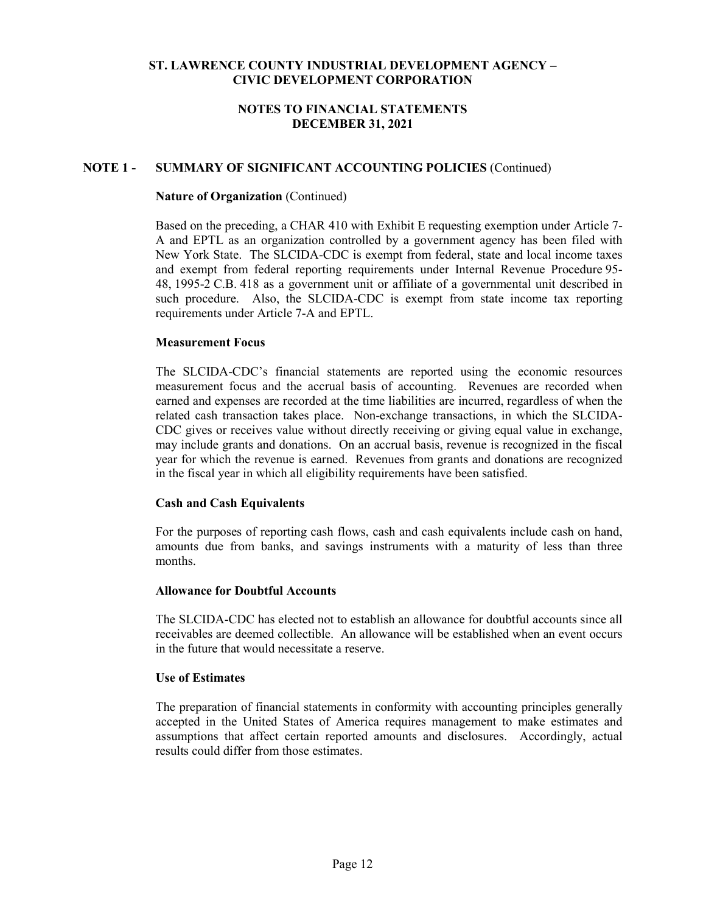# **NOTES TO FINANCIAL STATEMENTS DECEMBER 31, 2021**

# **NOTE 1 - SUMMARY OF SIGNIFICANT ACCOUNTING POLICIES** (Continued)

### **Nature of Organization** (Continued)

Based on the preceding, a CHAR 410 with Exhibit E requesting exemption under Article 7- A and EPTL as an organization controlled by a government agency has been filed with New York State. The SLCIDA-CDC is exempt from federal, state and local income taxes and exempt from federal reporting requirements under Internal Revenue Procedure 95- 48, 1995-2 C.B. 418 as a government unit or affiliate of a governmental unit described in such procedure. Also, the SLCIDA-CDC is exempt from state income tax reporting requirements under Article 7-A and EPTL.

#### **Measurement Focus**

The SLCIDA-CDC's financial statements are reported using the economic resources measurement focus and the accrual basis of accounting. Revenues are recorded when earned and expenses are recorded at the time liabilities are incurred, regardless of when the related cash transaction takes place. Non-exchange transactions, in which the SLCIDA-CDC gives or receives value without directly receiving or giving equal value in exchange, may include grants and donations. On an accrual basis, revenue is recognized in the fiscal year for which the revenue is earned. Revenues from grants and donations are recognized in the fiscal year in which all eligibility requirements have been satisfied.

### **Cash and Cash Equivalents**

For the purposes of reporting cash flows, cash and cash equivalents include cash on hand, amounts due from banks, and savings instruments with a maturity of less than three months.

#### **Allowance for Doubtful Accounts**

The SLCIDA-CDC has elected not to establish an allowance for doubtful accounts since all receivables are deemed collectible. An allowance will be established when an event occurs in the future that would necessitate a reserve.

### **Use of Estimates**

The preparation of financial statements in conformity with accounting principles generally accepted in the United States of America requires management to make estimates and assumptions that affect certain reported amounts and disclosures. Accordingly, actual results could differ from those estimates.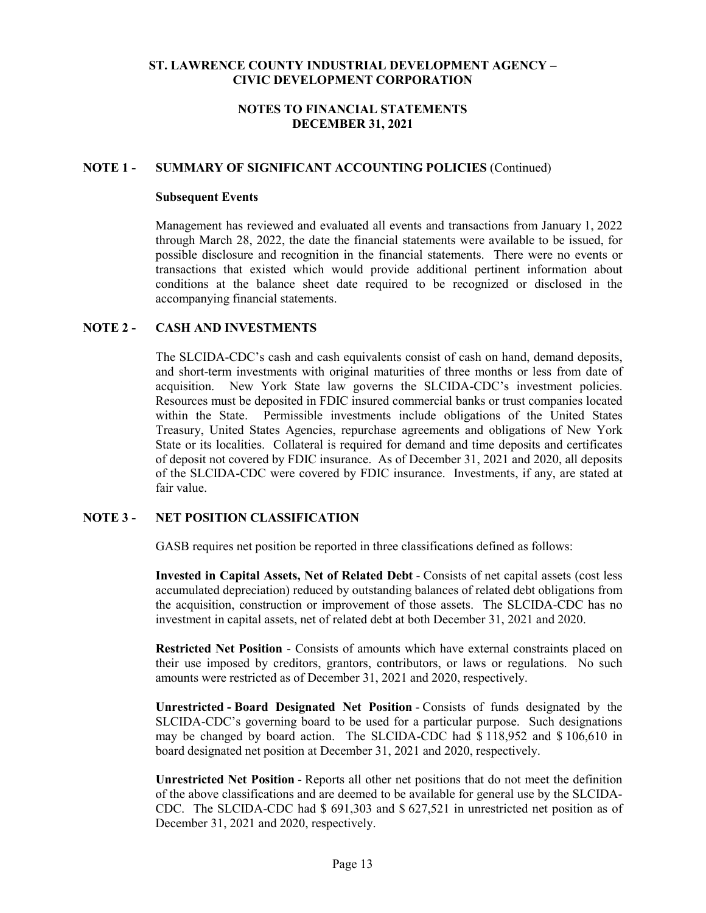# **NOTES TO FINANCIAL STATEMENTS DECEMBER 31, 2021**

## **NOTE 1 - SUMMARY OF SIGNIFICANT ACCOUNTING POLICIES** (Continued)

#### **Subsequent Events**

Management has reviewed and evaluated all events and transactions from January 1, 2022 through March 28, 2022, the date the financial statements were available to be issued, for possible disclosure and recognition in the financial statements. There were no events or transactions that existed which would provide additional pertinent information about conditions at the balance sheet date required to be recognized or disclosed in the accompanying financial statements.

#### **NOTE 2 - CASH AND INVESTMENTS**

The SLCIDA-CDC's cash and cash equivalents consist of cash on hand, demand deposits, and short-term investments with original maturities of three months or less from date of acquisition. New York State law governs the SLCIDA-CDC's investment policies. Resources must be deposited in FDIC insured commercial banks or trust companies located within the State. Permissible investments include obligations of the United States Treasury, United States Agencies, repurchase agreements and obligations of New York State or its localities. Collateral is required for demand and time deposits and certificates of deposit not covered by FDIC insurance. As of December 31, 2021 and 2020, all deposits of the SLCIDA-CDC were covered by FDIC insurance. Investments, if any, are stated at fair value.

### **NOTE 3 - NET POSITION CLASSIFICATION**

GASB requires net position be reported in three classifications defined as follows:

**Invested in Capital Assets, Net of Related Debt** - Consists of net capital assets (cost less accumulated depreciation) reduced by outstanding balances of related debt obligations from the acquisition, construction or improvement of those assets. The SLCIDA-CDC has no investment in capital assets, net of related debt at both December 31, 2021 and 2020.

**Restricted Net Position** - Consists of amounts which have external constraints placed on their use imposed by creditors, grantors, contributors, or laws or regulations. No such amounts were restricted as of December 31, 2021 and 2020, respectively.

**Unrestricted - Board Designated Net Position** - Consists of funds designated by the SLCIDA-CDC's governing board to be used for a particular purpose. Such designations may be changed by board action. The SLCIDA-CDC had \$ 118,952 and \$ 106,610 in board designated net position at December 31, 2021 and 2020, respectively.

**Unrestricted Net Position** - Reports all other net positions that do not meet the definition of the above classifications and are deemed to be available for general use by the SLCIDA-CDC. The SLCIDA-CDC had \$ 691,303 and \$ 627,521 in unrestricted net position as of December 31, 2021 and 2020, respectively.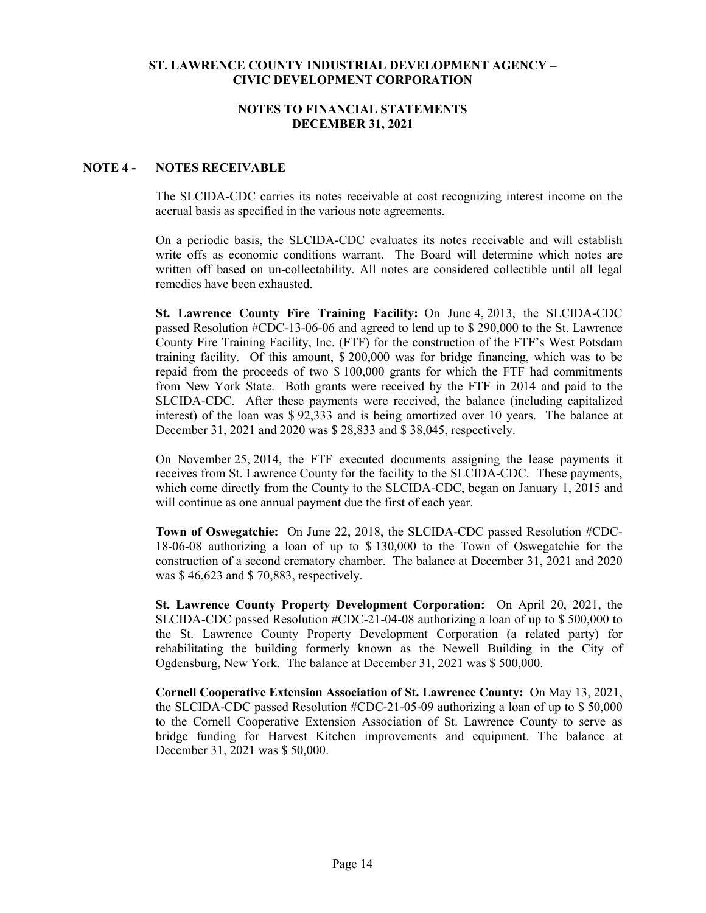# **NOTES TO FINANCIAL STATEMENTS DECEMBER 31, 2021**

# **NOTE 4 - NOTES RECEIVABLE**

The SLCIDA-CDC carries its notes receivable at cost recognizing interest income on the accrual basis as specified in the various note agreements.

On a periodic basis, the SLCIDA-CDC evaluates its notes receivable and will establish write offs as economic conditions warrant. The Board will determine which notes are written off based on un-collectability. All notes are considered collectible until all legal remedies have been exhausted.

**St. Lawrence County Fire Training Facility:** On June 4, 2013, the SLCIDA-CDC passed Resolution #CDC-13-06-06 and agreed to lend up to \$ 290,000 to the St. Lawrence County Fire Training Facility, Inc. (FTF) for the construction of the FTF's West Potsdam training facility. Of this amount, \$ 200,000 was for bridge financing, which was to be repaid from the proceeds of two \$ 100,000 grants for which the FTF had commitments from New York State. Both grants were received by the FTF in 2014 and paid to the SLCIDA-CDC. After these payments were received, the balance (including capitalized interest) of the loan was \$ 92,333 and is being amortized over 10 years. The balance at December 31, 2021 and 2020 was \$ 28,833 and \$ 38,045, respectively.

On November 25, 2014, the FTF executed documents assigning the lease payments it receives from St. Lawrence County for the facility to the SLCIDA-CDC. These payments, which come directly from the County to the SLCIDA-CDC, began on January 1, 2015 and will continue as one annual payment due the first of each year.

**Town of Oswegatchie:** On June 22, 2018, the SLCIDA-CDC passed Resolution #CDC-18-06-08 authorizing a loan of up to \$ 130,000 to the Town of Oswegatchie for the construction of a second crematory chamber. The balance at December 31, 2021 and 2020 was \$ 46,623 and \$ 70,883, respectively.

**St. Lawrence County Property Development Corporation:** On April 20, 2021, the SLCIDA-CDC passed Resolution #CDC-21-04-08 authorizing a loan of up to \$ 500,000 to the St. Lawrence County Property Development Corporation (a related party) for rehabilitating the building formerly known as the Newell Building in the City of Ogdensburg, New York. The balance at December 31, 2021 was \$ 500,000.

**Cornell Cooperative Extension Association of St. Lawrence County:** On May 13, 2021, the SLCIDA-CDC passed Resolution #CDC-21-05-09 authorizing a loan of up to \$ 50,000 to the Cornell Cooperative Extension Association of St. Lawrence County to serve as bridge funding for Harvest Kitchen improvements and equipment. The balance at December 31, 2021 was \$ 50,000.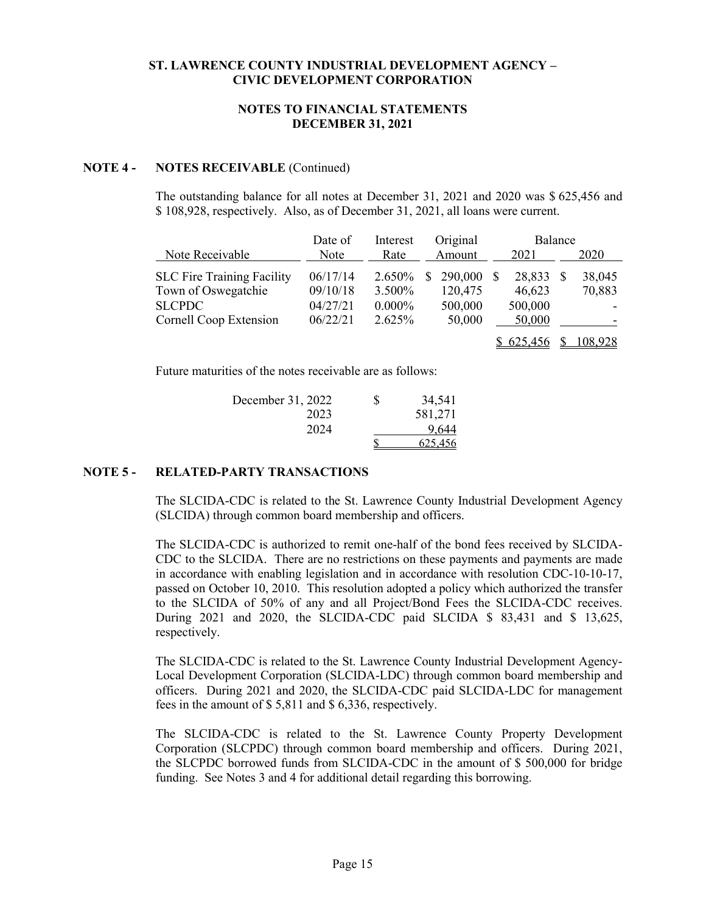# **NOTES TO FINANCIAL STATEMENTS DECEMBER 31, 2021**

## **NOTE 4 - NOTES RECEIVABLE** (Continued)

The outstanding balance for all notes at December 31, 2021 and 2020 was \$ 625,456 and \$ 108,928, respectively. Also, as of December 31, 2021, all loans were current.

|                                                                           | Date of                                      | Interest                                |   | Original                      | Balance                     |                  |
|---------------------------------------------------------------------------|----------------------------------------------|-----------------------------------------|---|-------------------------------|-----------------------------|------------------|
| Note Receivable                                                           | <b>Note</b>                                  | Rate                                    |   | Amount                        | 2021                        | 2020             |
| <b>SLC Fire Training Facility</b><br>Town of Oswegatchie<br><b>SLCPDC</b> | 06/17/14<br>09/10/18<br>04/27/21<br>06/22/21 | 2.650%<br>3.500%<br>$0.000\%$<br>2.625% | S | 290,000<br>120,475<br>500,000 | 28,833<br>46,623<br>500,000 | 38,045<br>70,883 |
| Cornell Coop Extension                                                    |                                              |                                         |   | 50,000                        | 50,000<br>\$625,456         | <u>108,928</u>   |

Future maturities of the notes receivable are as follows:

| December 31, 2022 | S | 34,541  |
|-------------------|---|---------|
| 2023              |   | 581,271 |
| 2024              |   | 9,644   |
|                   |   | 625,456 |
|                   |   |         |

# **NOTE 5 - RELATED-PARTY TRANSACTIONS**

The SLCIDA-CDC is related to the St. Lawrence County Industrial Development Agency (SLCIDA) through common board membership and officers.

The SLCIDA-CDC is authorized to remit one-half of the bond fees received by SLCIDA-CDC to the SLCIDA. There are no restrictions on these payments and payments are made in accordance with enabling legislation and in accordance with resolution CDC-10-10-17, passed on October 10, 2010. This resolution adopted a policy which authorized the transfer to the SLCIDA of 50% of any and all Project/Bond Fees the SLCIDA-CDC receives. During 2021 and 2020, the SLCIDA-CDC paid SLCIDA \$ 83,431 and \$ 13,625, respectively.

The SLCIDA-CDC is related to the St. Lawrence County Industrial Development Agency-Local Development Corporation (SLCIDA-LDC) through common board membership and officers. During 2021 and 2020, the SLCIDA-CDC paid SLCIDA-LDC for management fees in the amount of \$ 5,811 and \$ 6,336, respectively.

The SLCIDA-CDC is related to the St. Lawrence County Property Development Corporation (SLCPDC) through common board membership and officers. During 2021, the SLCPDC borrowed funds from SLCIDA-CDC in the amount of \$ 500,000 for bridge funding. See Notes 3 and 4 for additional detail regarding this borrowing.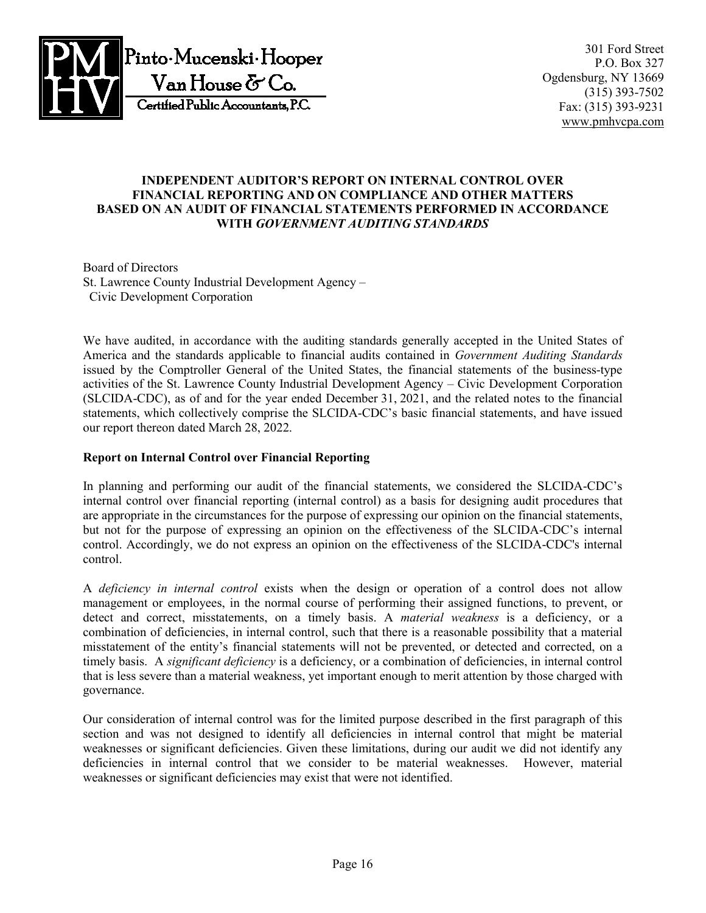

301 Ford Street P.O. Box 327 Ogdensburg, NY 13669 (315) 393-7502 Fax: (315) 393-9231 [www.pmhvcpa.com](http://www.pmhvcpa.com/)

# **INDEPENDENT AUDITOR'S REPORT ON INTERNAL CONTROL OVER FINANCIAL REPORTING AND ON COMPLIANCE AND OTHER MATTERS BASED ON AN AUDIT OF FINANCIAL STATEMENTS PERFORMED IN ACCORDANCE WITH** *GOVERNMENT AUDITING STANDARDS*

Board of Directors St. Lawrence County Industrial Development Agency – Civic Development Corporation

We have audited, in accordance with the auditing standards generally accepted in the United States of America and the standards applicable to financial audits contained in *Government Auditing Standards* issued by the Comptroller General of the United States, the financial statements of the business-type activities of the St. Lawrence County Industrial Development Agency – Civic Development Corporation (SLCIDA-CDC), as of and for the year ended December 31, 2021, and the related notes to the financial statements, which collectively comprise the SLCIDA-CDC's basic financial statements, and have issued our report thereon dated March 28, 2022.

## **Report on Internal Control over Financial Reporting**

In planning and performing our audit of the financial statements, we considered the SLCIDA-CDC's internal control over financial reporting (internal control) as a basis for designing audit procedures that are appropriate in the circumstances for the purpose of expressing our opinion on the financial statements, but not for the purpose of expressing an opinion on the effectiveness of the SLCIDA-CDC's internal control. Accordingly, we do not express an opinion on the effectiveness of the SLCIDA-CDC's internal control.

A *deficiency in internal control* exists when the design or operation of a control does not allow management or employees, in the normal course of performing their assigned functions, to prevent, or detect and correct, misstatements, on a timely basis. A *material weakness* is a deficiency, or a combination of deficiencies, in internal control, such that there is a reasonable possibility that a material misstatement of the entity's financial statements will not be prevented, or detected and corrected, on a timely basis. A *significant deficiency* is a deficiency, or a combination of deficiencies, in internal control that is less severe than a material weakness, yet important enough to merit attention by those charged with governance.

Our consideration of internal control was for the limited purpose described in the first paragraph of this section and was not designed to identify all deficiencies in internal control that might be material weaknesses or significant deficiencies. Given these limitations, during our audit we did not identify any deficiencies in internal control that we consider to be material weaknesses. However, material weaknesses or significant deficiencies may exist that were not identified.